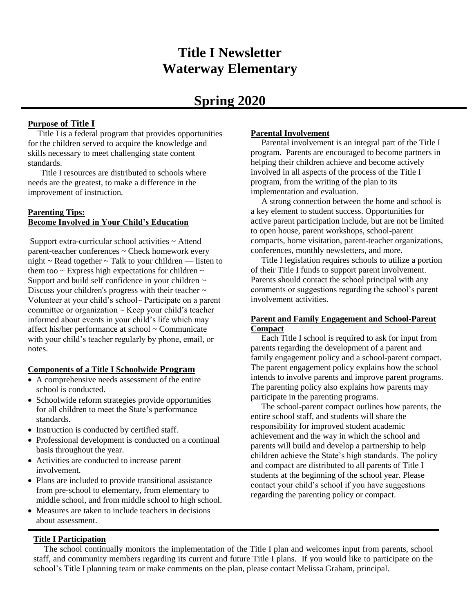# **Title I Newsletter Waterway Elementary**

## **Spring 2020**

## **Purpose of Title I**

 Title I is a federal program that provides opportunities for the children served to acquire the knowledge and skills necessary to meet challenging state content standards.

 Title I resources are distributed to schools where needs are the greatest, to make a difference in the improvement of instruction.

## **Parenting Tips: Become Involved in Your Child's Education**

Support extra-curricular school activities ~ Attend parent-teacher conferences ~ Check homework every night  $\sim$  Read together  $\sim$  Talk to your children — listen to them too  $\sim$  Express high expectations for children  $\sim$ Support and build self confidence in your children  $\sim$ Discuss your children's progress with their teacher  $\sim$ Volunteer at your child's school~ Participate on a parent committee or organization  $\sim$  Keep your child's teacher informed about events in your child's life which may affect his/her performance at school ~ Communicate with your child's teacher regularly by phone, email, or notes.

## **Components of a Title I Schoolwide Program**

- A comprehensive needs assessment of the entire school is conducted.
- Schoolwide reform strategies provide opportunities for all children to meet the State's performance standards.
- Instruction is conducted by certified staff.
- Professional development is conducted on a continual basis throughout the year.
- Activities are conducted to increase parent involvement.
- Plans are included to provide transitional assistance from pre-school to elementary, from elementary to middle school, and from middle school to high school.
- Measures are taken to include teachers in decisions about assessment.

## **Parental Involvement**

 Parental involvement is an integral part of the Title I program. Parents are encouraged to become partners in helping their children achieve and become actively involved in all aspects of the process of the Title I program, from the writing of the plan to its implementation and evaluation.

 A strong connection between the home and school is a key element to student success. Opportunities for active parent participation include, but are not be limited to open house, parent workshops, school-parent compacts, home visitation, parent-teacher organizations, conferences, monthly newsletters, and more.

 Title I legislation requires schools to utilize a portion of their Title I funds to support parent involvement. Parents should contact the school principal with any comments or suggestions regarding the school's parent involvement activities.

## **Parent and Family Engagement and School-Parent Compact**

 Each Title I school is required to ask for input from parents regarding the development of a parent and family engagement policy and a school-parent compact. The parent engagement policy explains how the school intends to involve parents and improve parent programs. The parenting policy also explains how parents may participate in the parenting programs.

 The school-parent compact outlines how parents, the entire school staff, and students will share the responsibility for improved student academic achievement and the way in which the school and parents will build and develop a partnership to help children achieve the State's high standards. The policy and compact are distributed to all parents of Title I students at the beginning of the school year. Please contact your child's school if you have suggestions regarding the parenting policy or compact.

## **Title I Participation**

**Partial** Right and Weicomes staff, and community members regarding its current and future Title I plans. If you would like to participate on the The school continually monitors the implementation of the Title I plan and welcomes input from parents, school school's Title I planning team or make comments on the plan, please contact Melissa Graham, principal.